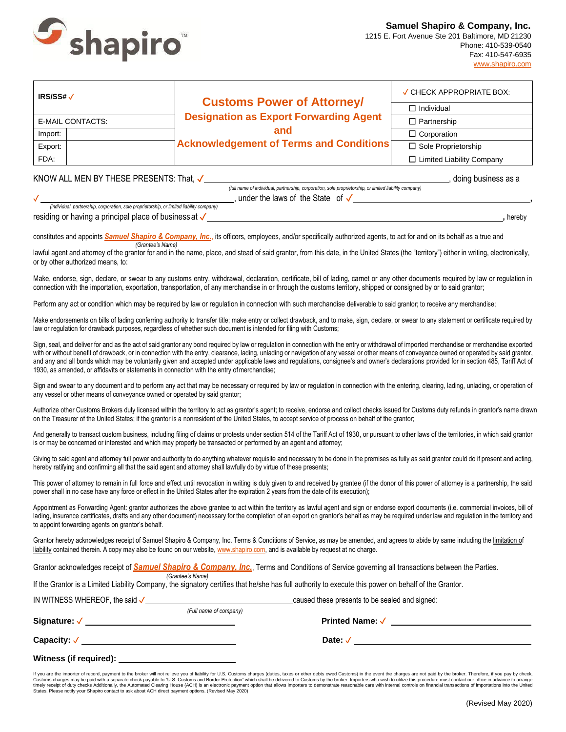

| IRS/SS# $\checkmark$ | <b>Customs Power of Attorney/</b>                                                                      | ✓ CHECK APPROPRIATE BOX:         |  |
|----------------------|--------------------------------------------------------------------------------------------------------|----------------------------------|--|
|                      | <b>Designation as Export Forwarding Agent</b><br>and<br><b>Acknowledgement of Terms and Conditions</b> | $\Box$ Individual                |  |
| E-MAIL CONTACTS:     |                                                                                                        | $\Box$ Partnership               |  |
| Import:              |                                                                                                        | $\Box$ Corporation               |  |
| Export:              |                                                                                                        | $\Box$ Sole Proprietorship       |  |
| FDA:                 |                                                                                                        | $\Box$ Limited Liability Company |  |

### KNOW ALL MEN BY THESE PRESENTS: That,  $\checkmark$

*(full name of individual, partnership, corporation, sole proprietorship, or limited liability company)* ✓ , under the laws of the State of ✓ **,**

residing or having a principal place of businessat ✓ **,** hereby

*(individual, partnership, corporation, sole proprietorship, or limited liability company)*

constitutes and appoints **Samuel Shapiro & Company, Inc.**, its officers, employees, and/or specifically authorized agents, to act for and on its behalf as a true and *(Grantee's Name)*

lawful agent and attorney of the grantor for and in the name, place, and stead of said grantor, from this date, in the United States (the "territory") either in writing, electronically, or by other authorized means, to:

Make, endorse, sign, declare, or swear to any customs entry, withdrawal, declaration, certificate, bill of lading, carnet or any other documents required by law or regulation in connection with the importation, exportation, transportation, of any merchandise in or through the customs territory, shipped or consigned by or to said grantor;

Perform any act or condition which may be required by law or regulation in connection with such merchandise deliverable to said grantor; to receive any merchandise;

Make endorsements on bills of lading conferring authority to transfer title; make entry or collect drawback, and to make, sign, declare, or swear to any statement or certificate required by law or regulation for drawback purposes, regardless of whether such document is intended for filing with Customs;

Sign, seal, and deliver for and as the act of said grantor any bond required by law or regulation in connection with the entry or withdrawal of imported merchandise or merchandise exported with or without benefit of drawback, or in connection with the entry, clearance, lading, unlading or navigation of any vessel or other means of conveyance owned or operated by said grantor, and any and all bonds which may be voluntarily given and accepted under applicable laws and regulations, consignee's and owner's declarations provided for in section 485, Tariff Act of 1930, as amended, or affidavits or statements in connection with the entry ofmerchandise;

Sign and swear to any document and to perform any act that may be necessary or required by law or regulation in connection with the entering, clearing, lading, unlading, or operation of any vessel or other means of conveyance owned or operated by said grantor;

Authorize other Customs Brokers duly licensed within the territory to act as grantor's agent; to receive, endorse and collect checks issued for Customs duty refunds in grantor's name drawn on the Treasurer of the United States; if the grantor is a nonresident of the United States, to accept service of process on behalf of the grantor;

And generally to transact custom business, including filing of claims or protests under section 514 of the Tariff Act of 1930, or pursuant to other laws of the territories, in which said grantor is or may be concerned or interested and which may properly be transacted or performed by an agent and attorney;

Giving to said agent and attorney full power and authority to do anything whatever requisite and necessary to be done in the premises as fully as said grantor could do if present and acting, hereby ratifying and confirming all that the said agent and attorney shall lawfully do by virtue of these presents;

This power of attorney to remain in full force and effect until revocation in writing is duly given to and received by grantee (if the donor of this power of attorney is a partnership, the said power shall in no case have any force or effect in the United States after the expiration 2 years from the date of its execution);

Appointment as Forwarding Agent: grantor authorizes the above grantee to act within the territory as lawful agent and sign or endorse export documents (i.e. commercial invoices, bill of lading, insurance certificates, drafts and any other document) necessary for the completion of an export on grantor's behalf as may be required under law and regulation in the territory and to appoint forwarding agents on grantor's behalf.

Grantor hereby acknowledges receipt of Samuel Shapiro & Company, Inc. Terms & Conditions of Service, as may be amended, and agrees to abide by same including the limitation of liability contained therein. A copy may also be found on our website[, www.shapiro.com, a](https://www.shapiro.com/terms-and-conditions-of-service-and-forms/)nd is available by request at no charge.

Grantor acknowledges receipt of **Samuel Shapiro & Company, Inc.**, Terms and Conditions of Service governing all transactions between the Parties. *(Grantee's Name)*

If the Grantor is a Limited Liability Company, the signatory certifies that he/she has full authority to execute this power on behalf of the Grantor.

IN WITNESS WHEREOF, the said ✓ caused these presents to be sealed and signed:

| (Full name of company) |  |
|------------------------|--|
| <b>Printed Name: √</b> |  |
|                        |  |

**Capacity: √ \_\_\_\_\_\_\_\_\_\_\_\_\_\_\_\_\_** 

**Signature:** ✓

### **Witness (if required):**

If you are the importer of record, payment to the broker will not relieve you of liability for U.S. Customs charges (duties, taxes or other debts owed Customs) in the event the charges are not paid by the broker. Therefore Customs charges may be paid with a separate check payable to "U.S. Customs and Border Protection" which shall be delivered to Customs by the broker. Importers who wish to utilize this procedure must contact our office in a

**Date:** ✓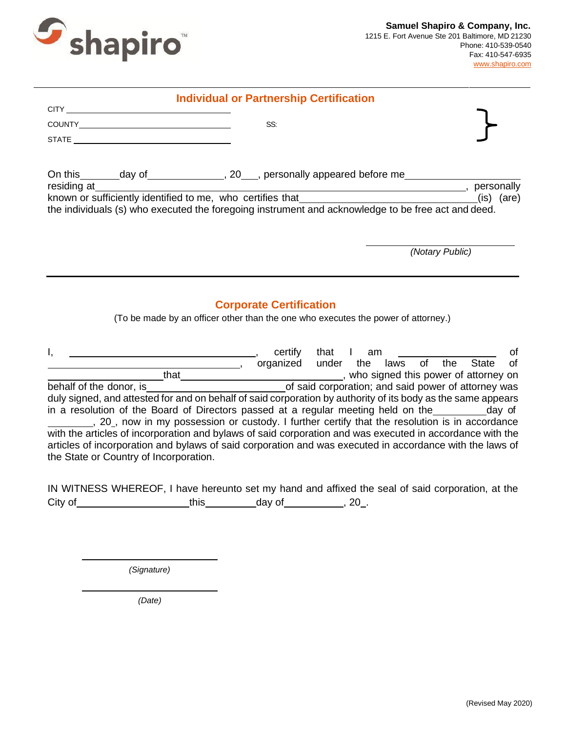

| <b>Individual or Partnership Certification</b> |                                                                                                                                                                                                                                                                                                                                                                                                                                                                                                                                                                                                                                                                           |                                |  |  |                 |    |
|------------------------------------------------|---------------------------------------------------------------------------------------------------------------------------------------------------------------------------------------------------------------------------------------------------------------------------------------------------------------------------------------------------------------------------------------------------------------------------------------------------------------------------------------------------------------------------------------------------------------------------------------------------------------------------------------------------------------------------|--------------------------------|--|--|-----------------|----|
|                                                | STATE <b>STATE</b>                                                                                                                                                                                                                                                                                                                                                                                                                                                                                                                                                                                                                                                        | SS:                            |  |  |                 |    |
|                                                | resigning at<br>known or sufficiently identified to me, who certifies that<br>the individuals (c) who executed the forecasts is the state of the individuals (c) who executed the forecasts is the state of the state of the state o<br>the individuals (s) who executed the foregoing instrument and acknowledge to be free act and deed.                                                                                                                                                                                                                                                                                                                                |                                |  |  |                 |    |
|                                                |                                                                                                                                                                                                                                                                                                                                                                                                                                                                                                                                                                                                                                                                           |                                |  |  | (Notary Public) |    |
|                                                | (To be made by an officer other than the one who executes the power of attorney.)                                                                                                                                                                                                                                                                                                                                                                                                                                                                                                                                                                                         | <b>Corporate Certification</b> |  |  |                 |    |
| the State or Country of Incorporation.         | that the laws of the State of the state of the donor, is that the state of said corporation; and said power of attorney was<br>duly signed, and attested for and on behalf of said corporation by authority of its body as the same appears<br>in a resolution of the Board of Directors passed at a regular meeting held on the __________day of<br>20, now in my possession or custody. I further certify that the resolution is in accordance<br>with the articles of incorporation and bylaws of said corporation and was executed in accordance with the<br>articles of incorporation and bylaws of said corporation and was executed in accordance with the laws of |                                |  |  |                 | 0f |

|         | IN WITNESS WHEREOF, I have hereunto set my hand and affixed the seal of said corporation, at the |        |    |  |
|---------|--------------------------------------------------------------------------------------------------|--------|----|--|
| City of | this                                                                                             | day of | 20 |  |

*(Signature)*

*(Date)*